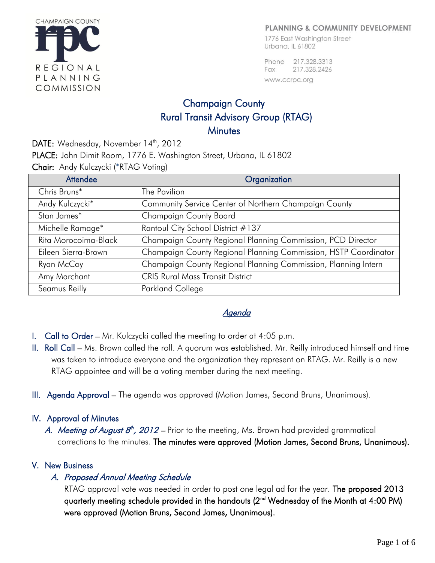

#### PLANNING & COMMUNITY DEVELOPMENT

1776 East Washington Street Urbana, IL 61802

Phone 217.328.3313 217.328.2426 Fax www.ccrpc.org

# Champaign County Rural Transit Advisory Group (RTAG) **Minutes**

DATE: Wednesday, November  $14<sup>th</sup>$ , 2012 PLACE: John Dimit Room, 1776 E. Washington Street, Urbana, IL 61802 Chair: Andy Kulczycki (\*RTAG Voting)

| Attendee             | Organization                                                    |
|----------------------|-----------------------------------------------------------------|
| Chris Bruns*         | The Pavilion                                                    |
| Andy Kulczycki*      | Community Service Center of Northern Champaign County           |
| Stan James*          | Champaign County Board                                          |
| Michelle Ramage*     | Rantoul City School District #137                               |
| Rita Morocoima-Black | Champaign County Regional Planning Commission, PCD Director     |
| Eileen Sierra-Brown  | Champaign County Regional Planning Commission, HSTP Coordinator |
| Ryan McCoy           | Champaign County Regional Planning Commission, Planning Intern  |
| Amy Marchant         | <b>CRIS Rural Mass Transit District</b>                         |
| Seamus Reilly        | Parkland College                                                |

# Agenda

- I. Call to Order Mr. Kulczycki called the meeting to order at 4:05 p.m.
- II. Roll Call Ms. Brown called the roll. A quorum was established. Mr. Reilly introduced himself and time was taken to introduce everyone and the organization they represent on RTAG. Mr. Reilly is a new RTAG appointee and will be a voting member during the next meeting.
- III. Agenda Approval The agenda was approved (Motion James, Second Bruns, Unanimous).

#### IV. Approval of Minutes

A. Meeting of August 8<sup>th</sup>, 2012 – Prior to the meeting, Ms. Brown had provided grammatical corrections to the minutes. The minutes were approved (Motion James, Second Bruns, Unanimous).

#### V. New Business

## A. Proposed Annual Meeting Schedule

RTAG approval vote was needed in order to post one legal ad for the year. The proposed 2013 quarterly meeting schedule provided in the handouts (2<sup>nd</sup> Wednesday of the Month at 4:00 PM) were approved (Motion Bruns, Second James, Unanimous).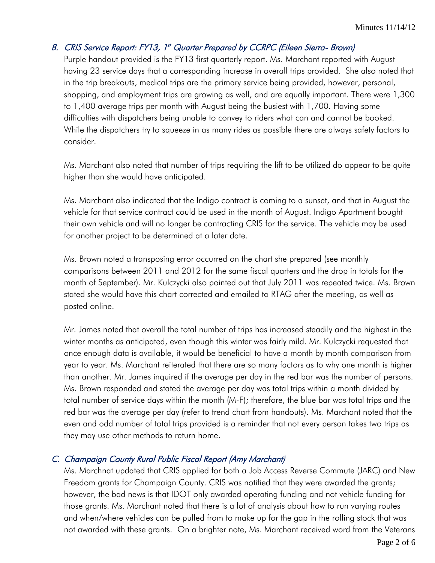#### B. CRIS Service Report: FY13, 1st Quarter Prepared by CCRPC (Eileen Sierra- Brown)

Purple handout provided is the FY13 first quarterly report. Ms. Marchant reported with August having 23 service days that a corresponding increase in overall trips provided. She also noted that in the trip breakouts, medical trips are the primary service being provided, however, personal, shopping, and employment trips are growing as well, and are equally important. There were 1,300 to 1,400 average trips per month with August being the busiest with 1,700. Having some difficulties with dispatchers being unable to convey to riders what can and cannot be booked. While the dispatchers try to squeeze in as many rides as possible there are always safety factors to consider.

Ms. Marchant also noted that number of trips requiring the lift to be utilized do appear to be quite higher than she would have anticipated.

Ms. Marchant also indicated that the Indigo contract is coming to a sunset, and that in August the vehicle for that service contract could be used in the month of August. Indigo Apartment bought their own vehicle and will no longer be contracting CRIS for the service. The vehicle may be used for another project to be determined at a later date.

Ms. Brown noted a transposing error occurred on the chart she prepared (see monthly comparisons between 2011 and 2012 for the same fiscal quarters and the drop in totals for the month of September). Mr. Kulczycki also pointed out that July 2011 was repeated twice. Ms. Brown stated she would have this chart corrected and emailed to RTAG after the meeting, as well as posted online.

Mr. James noted that overall the total number of trips has increased steadily and the highest in the winter months as anticipated, even though this winter was fairly mild. Mr. Kulczycki requested that once enough data is available, it would be beneficial to have a month by month comparison from year to year. Ms. Marchant reiterated that there are so many factors as to why one month is higher than another. Mr. James inquired if the average per day in the red bar was the number of persons. Ms. Brown responded and stated the average per day was total trips within a month divided by total number of service days within the month (M-F); therefore, the blue bar was total trips and the red bar was the average per day (refer to trend chart from handouts). Ms. Marchant noted that the even and odd number of total trips provided is a reminder that not every person takes two trips as they may use other methods to return home.

## C. Champaign County Rural Public Fiscal Report (Amy Marchant)

Ms. Marchnat updated that CRIS applied for both a Job Access Reverse Commute (JARC) and New Freedom grants for Champaign County. CRIS was notified that they were awarded the grants; however, the bad news is that IDOT only awarded operating funding and not vehicle funding for those grants. Ms. Marchant noted that there is a lot of analysis about how to run varying routes and when/where vehicles can be pulled from to make up for the gap in the rolling stock that was not awarded with these grants. On a brighter note, Ms. Marchant received word from the Veterans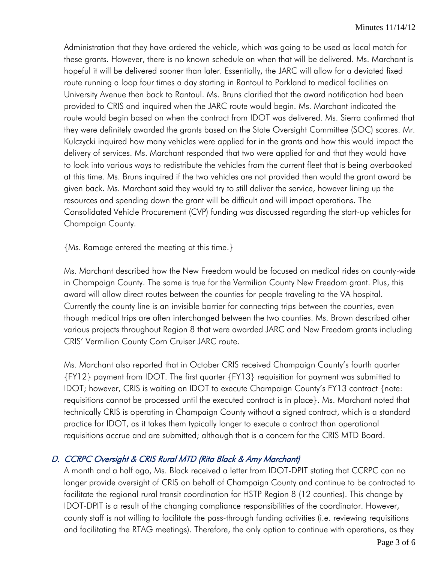Administration that they have ordered the vehicle, which was going to be used as local match for these grants. However, there is no known schedule on when that will be delivered. Ms. Marchant is hopeful it will be delivered sooner than later. Essentially, the JARC will allow for a deviated fixed route running a loop four times a day starting in Rantoul to Parkland to medical facilities on University Avenue then back to Rantoul. Ms. Bruns clarified that the award notification had been provided to CRIS and inquired when the JARC route would begin. Ms. Marchant indicated the route would begin based on when the contract from IDOT was delivered. Ms. Sierra confirmed that they were definitely awarded the grants based on the State Oversight Committee (SOC) scores. Mr. Kulczycki inquired how many vehicles were applied for in the grants and how this would impact the delivery of services. Ms. Marchant responded that two were applied for and that they would have to look into various ways to redistribute the vehicles from the current fleet that is being overbooked at this time. Ms. Bruns inquired if the two vehicles are not provided then would the grant award be given back. Ms. Marchant said they would try to still deliver the service, however lining up the resources and spending down the grant will be difficult and will impact operations. The Consolidated Vehicle Procurement (CVP) funding was discussed regarding the start-up vehicles for Champaign County.

{Ms. Ramage entered the meeting at this time.}

Ms. Marchant described how the New Freedom would be focused on medical rides on county-wide in Champaign County. The same is true for the Vermilion County New Freedom grant. Plus, this award will allow direct routes between the counties for people traveling to the VA hospital. Currently the county line is an invisible barrier for connecting trips between the counties, even though medical trips are often interchanged between the two counties. Ms. Brown described other various projects throughout Region 8 that were awarded JARC and New Freedom grants including CRIS' Vermilion County Corn Cruiser JARC route.

Ms. Marchant also reported that in October CRIS received Champaign County's fourth quarter {FY12} payment from IDOT. The first quarter {FY13} requisition for payment was submitted to IDOT; however, CRIS is waiting on IDOT to execute Champaign County's FY13 contract {note: requisitions cannot be processed until the executed contract is in place}. Ms. Marchant noted that technically CRIS is operating in Champaign County without a signed contract, which is a standard practice for IDOT, as it takes them typically longer to execute a contract than operational requisitions accrue and are submitted; although that is a concern for the CRIS MTD Board.

## D. CCRPC Oversight & CRIS Rural MTD (Rita Black & Amy Marchant)

A month and a half ago, Ms. Black received a letter from IDOT-DPIT stating that CCRPC can no longer provide oversight of CRIS on behalf of Champaign County and continue to be contracted to facilitate the regional rural transit coordination for HSTP Region 8 (12 counties). This change by IDOT-DPIT is a result of the changing compliance responsibilities of the coordinator. However, county staff is not willing to facilitate the pass-through funding activities (i.e. reviewing requisitions and facilitating the RTAG meetings). Therefore, the only option to continue with operations, as they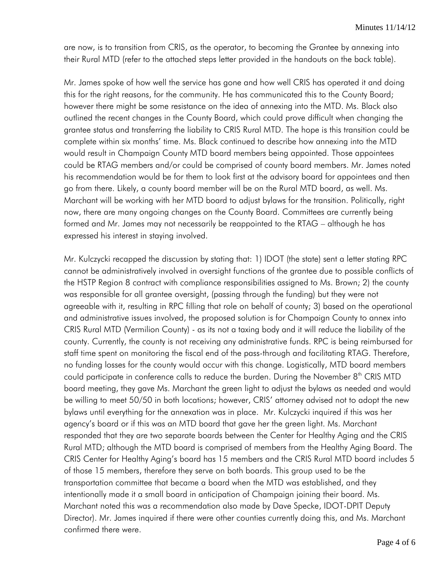are now, is to transition from CRIS, as the operator, to becoming the Grantee by annexing into their Rural MTD (refer to the attached steps letter provided in the handouts on the back table).

Mr. James spoke of how well the service has gone and how well CRIS has operated it and doing this for the right reasons, for the community. He has communicated this to the County Board; however there might be some resistance on the idea of annexing into the MTD. Ms. Black also outlined the recent changes in the County Board, which could prove difficult when changing the grantee status and transferring the liability to CRIS Rural MTD. The hope is this transition could be complete within six months' time. Ms. Black continued to describe how annexing into the MTD would result in Champaign County MTD board members being appointed. Those appointees could be RTAG members and/or could be comprised of county board members. Mr. James noted his recommendation would be for them to look first at the advisory board for appointees and then go from there. Likely, a county board member will be on the Rural MTD board, as well. Ms. Marchant will be working with her MTD board to adjust bylaws for the transition. Politically, right now, there are many ongoing changes on the County Board. Committees are currently being formed and Mr. James may not necessarily be reappointed to the RTAG – although he has expressed his interest in staying involved.

Mr. Kulczycki recapped the discussion by stating that: 1) IDOT (the state) sent a letter stating RPC cannot be administratively involved in oversight functions of the grantee due to possible conflicts of the HSTP Region 8 contract with compliance responsibilities assigned to Ms. Brown; 2) the county was responsible for all grantee oversight, (passing through the funding) but they were not agreeable with it, resulting in RPC filling that role on behalf of county; 3) based on the operational and administrative issues involved, the proposed solution is for Champaign County to annex into CRIS Rural MTD (Vermilion County) - as its not a taxing body and it will reduce the liability of the county. Currently, the county is not receiving any administrative funds. RPC is being reimbursed for staff time spent on monitoring the fiscal end of the pass-through and facilitating RTAG. Therefore, no funding losses for the county would occur with this change. Logistically, MTD board members could participate in conference calls to reduce the burden. During the November 8<sup>th</sup> CRIS MTD board meeting, they gave Ms. Marchant the green light to adjust the bylaws as needed and would be willing to meet 50/50 in both locations; however, CRIS' attorney advised not to adopt the new bylaws until everything for the annexation was in place. Mr. Kulczycki inquired if this was her agency's board or if this was an MTD board that gave her the green light. Ms. Marchant responded that they are two separate boards between the Center for Healthy Aging and the CRIS Rural MTD; although the MTD board is comprised of members from the Healthy Aging Board. The CRIS Center for Healthy Aging's board has 15 members and the CRIS Rural MTD board includes 5 of those 15 members, therefore they serve on both boards. This group used to be the transportation committee that became a board when the MTD was established, and they intentionally made it a small board in anticipation of Champaign joining their board. Ms. Marchant noted this was a recommendation also made by Dave Specke, IDOT-DPIT Deputy Director). Mr. James inquired if there were other counties currently doing this, and Ms. Marchant confirmed there were.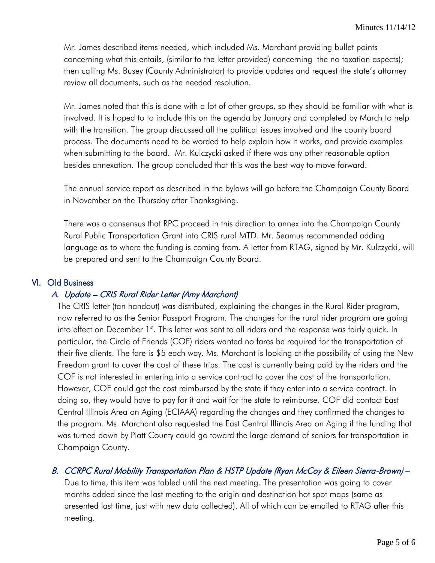Mr. James described items needed, which included Ms. Marchant providing bullet points concerning what this entails, (similar to the letter provided) concerning the no taxation aspects); then calling Ms. Busey (County Administrator) to provide updates and request the state's attorney review all documents, such as the needed resolution.

Mr. James noted that this is done with a lot of other groups, so they should be familiar with what is involved. It is hoped to to include this on the agenda by January and completed by March to help with the transition. The group discussed all the political issues involved and the county board process. The documents need to be worded to help explain how it works, and provide examples when submitting to the board. Mr. Kulczycki asked if there was any other reasonable option besides annexation. The group concluded that this was the best way to move forward.

The annual service report as described in the bylaws will go before the Champaign County Board in November on the Thursday after Thanksgiving.

There was a consensus that RPC proceed in this direction to annex into the Champaign County Rural Public Transportation Grant into CRIS rural MTD. Mr. Seamus recommended adding language as to where the funding is coming from. A letter from RTAG, signed by Mr. Kulczycki, will be prepared and sent to the Champaign County Board.

#### VI. Old Business

#### A. Update – CRIS Rural Rider Letter (Amy Marchant)

The CRIS letter (tan handout) was distributed, explaining the changes in the Rural Rider program, now referred to as the Senior Passport Program. The changes for the rural rider program are going into effect on December 1st. This letter was sent to all riders and the response was fairly quick. In particular, the Circle of Friends (COF) riders wanted no fares be required for the transportation of their five clients. The fare is \$5 each way. Ms. Marchant is looking at the possibility of using the New Freedom grant to cover the cost of these trips. The cost is currently being paid by the riders and the COF is not interested in entering into a service contract to cover the cost of the transportation. However, COF could get the cost reimbursed by the state if they enter into a service contract. In doing so, they would have to pay for it and wait for the state to reimburse. COF did contact East Central Illinois Area on Aging (ECIAAA) regarding the changes and they confirmed the changes to the program. Ms. Marchant also requested the East Central Illinois Area on Aging if the funding that was turned down by Piatt County could go toward the large demand of seniors for transportation in Champaign County.

#### B. CCRPC Rural Mobility Transportation Plan & HSTP Update (Ryan McCoy & Eileen Sierra-Brown) –

Due to time, this item was tabled until the next meeting. The presentation was going to cover months added since the last meeting to the origin and destination hot spot maps (same as presented last time, just with new data collected). All of which can be emailed to RTAG after this meeting.